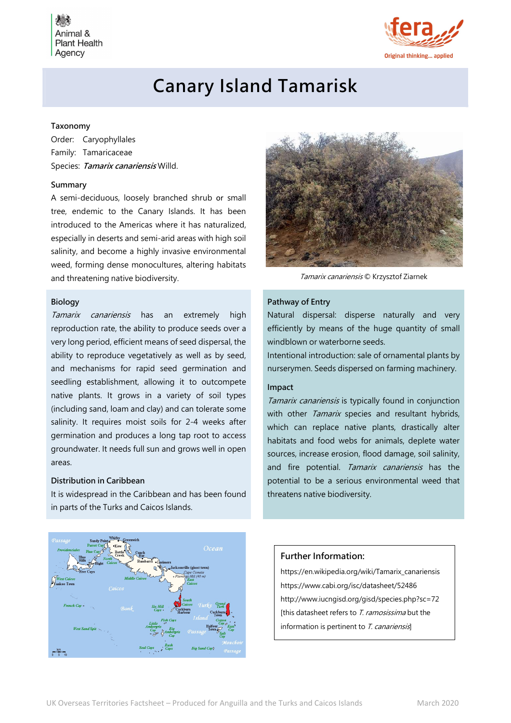Animal & **Plant Health** Agency



# Canary Island Tamarisk

## Taxonomy

Order: Caryophyllales Family: Tamaricaceae Species: Tamarix canariensis Willd.

#### Summary

A semi-deciduous, loosely branched shrub or small tree, endemic to the Canary Islands. It has been introduced to the Americas where it has naturalized, especially in deserts and semi-arid areas with high soil salinity, and become a highly invasive environmental weed, forming dense monocultures, altering habitats and threatening native biodiversity. Tamarix canariensis © Krzysztof Ziarnek

# Biology

Tamarix canariensis has an extremely high reproduction rate, the ability to produce seeds over a very long period, efficient means of seed dispersal, the ability to reproduce vegetatively as well as by seed, and mechanisms for rapid seed germination and seedling establishment, allowing it to outcompete native plants. It grows in a variety of soil types (including sand, loam and clay) and can tolerate some salinity. It requires moist soils for 2-4 weeks after germination and produces a long tap root to access groundwater. It needs full sun and grows well in open areas.

### Distribution in Caribbean

It is widespread in the Caribbean and has been found in parts of the Turks and Caicos Islands.





#### Pathway of Entry

Natural dispersal: disperse naturally and very efficiently by means of the huge quantity of small windblown or waterborne seeds.

Intentional introduction: sale of ornamental plants by nurserymen. Seeds dispersed on farming machinery.

#### Impact

Tamarix canariensis is typically found in conjunction with other Tamarix species and resultant hybrids, which can replace native plants, drastically alter habitats and food webs for animals, deplete water sources, increase erosion, flood damage, soil salinity, and fire potential. Tamarix canariensis has the potential to be a serious environmental weed that threatens native biodiversity.

# Further Information:

https://en.wikipedia.org/wiki/Tamarix\_canariensis https://www.cabi.org/isc/datasheet/52486 http://www.iucngisd.org/gisd/species.php?sc=72 [this datasheet refers to T. ramosissima but the information is pertinent to T. canariensis